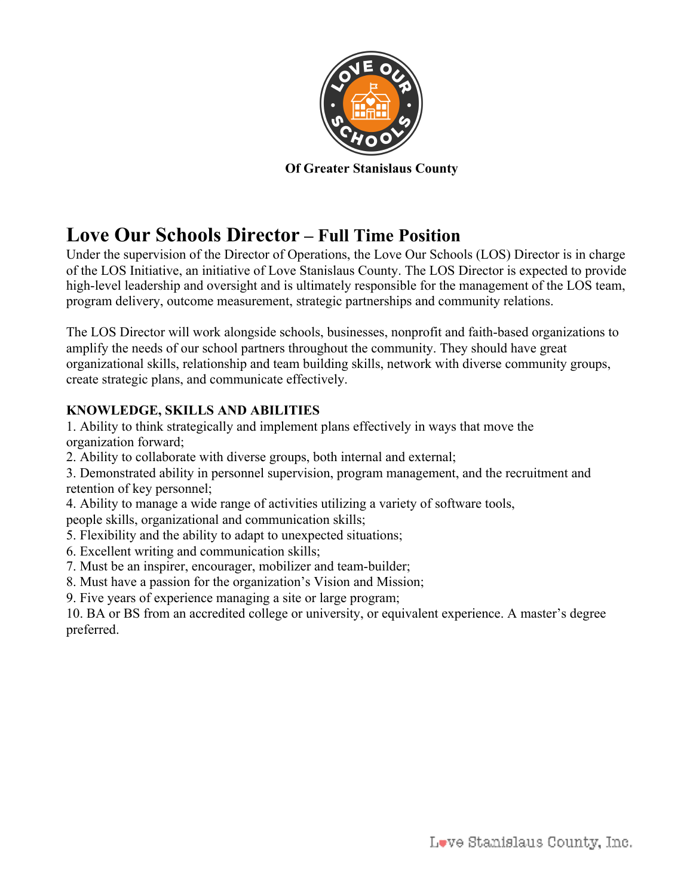

**Of Greater Stanislaus County**

# **Love Our Schools Director – Full Time Position**

Under the supervision of the Director of Operations, the Love Our Schools (LOS) Director is in charge of the LOS Initiative, an initiative of Love Stanislaus County. The LOS Director is expected to provide high-level leadership and oversight and is ultimately responsible for the management of the LOS team, program delivery, outcome measurement, strategic partnerships and community relations.

The LOS Director will work alongside schools, businesses, nonprofit and faith-based organizations to amplify the needs of our school partners throughout the community. They should have great organizational skills, relationship and team building skills, network with diverse community groups, create strategic plans, and communicate effectively.

# **KNOWLEDGE, SKILLS AND ABILITIES**

1. Ability to think strategically and implement plans effectively in ways that move the organization forward;

2. Ability to collaborate with diverse groups, both internal and external;

3. Demonstrated ability in personnel supervision, program management, and the recruitment and retention of key personnel;

4. Ability to manage a wide range of activities utilizing a variety of software tools,

people skills, organizational and communication skills;

- 5. Flexibility and the ability to adapt to unexpected situations;
- 6. Excellent writing and communication skills;
- 7. Must be an inspirer, encourager, mobilizer and team-builder;
- 8. Must have a passion for the organization's Vision and Mission;
- 9. Five years of experience managing a site or large program;

10. BA or BS from an accredited college or university, or equivalent experience. A master's degree preferred.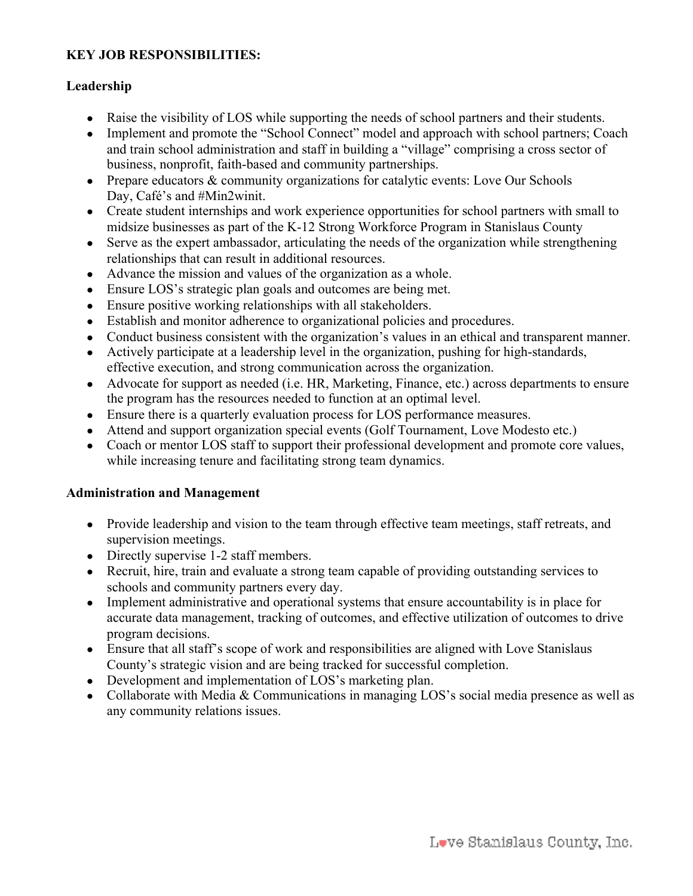## **KEY JOB RESPONSIBILITIES:**

### **Leadership**

- Raise the visibility of LOS while supporting the needs of school partners and their students.
- Implement and promote the "School Connect" model and approach with school partners; Coach and train school administration and staff in building a "village" comprising a cross sector of business, nonprofit, faith-based and community partnerships.
- Prepare educators & community organizations for catalytic events: Love Our Schools Day, Café's and #Min2winit.
- Create student internships and work experience opportunities for school partners with small to midsize businesses as part of the K-12 Strong Workforce Program in Stanislaus County
- Serve as the expert ambassador, articulating the needs of the organization while strengthening relationships that can result in additional resources.
- Advance the mission and values of the organization as a whole.
- Ensure LOS's strategic plan goals and outcomes are being met.
- Ensure positive working relationships with all stakeholders.
- Establish and monitor adherence to organizational policies and procedures.
- Conduct business consistent with the organization's values in an ethical and transparent manner.
- Actively participate at a leadership level in the organization, pushing for high-standards, effective execution, and strong communication across the organization.
- Advocate for support as needed (i.e. HR, Marketing, Finance, etc.) across departments to ensure the program has the resources needed to function at an optimal level.
- Ensure there is a quarterly evaluation process for LOS performance measures.
- Attend and support organization special events (Golf Tournament, Love Modesto etc.)
- Coach or mentor LOS staff to support their professional development and promote core values, while increasing tenure and facilitating strong team dynamics.

#### **Administration and Management**

- Provide leadership and vision to the team through effective team meetings, staff retreats, and supervision meetings.
- Directly supervise 1-2 staff members.
- Recruit, hire, train and evaluate a strong team capable of providing outstanding services to schools and community partners every day.
- Implement administrative and operational systems that ensure accountability is in place for accurate data management, tracking of outcomes, and effective utilization of outcomes to drive program decisions.
- Ensure that all staff's scope of work and responsibilities are aligned with Love Stanislaus County's strategic vision and are being tracked for successful completion.
- Development and implementation of LOS's marketing plan.
- Collaborate with Media & Communications in managing LOS's social media presence as well as any community relations issues.